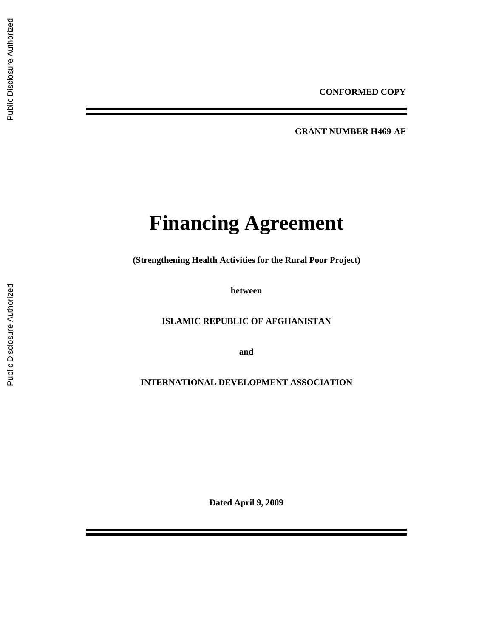**GRANT NUMBER H469-AF** 

# **Financing Agreement**

**(Strengthening Health Activities for the Rural Poor Project)** 

**between** 

**ISLAMIC REPUBLIC OF AFGHANISTAN** 

**and** 

**INTERNATIONAL DEVELOPMENT ASSOCIATION** 

**Dated April 9, 2009**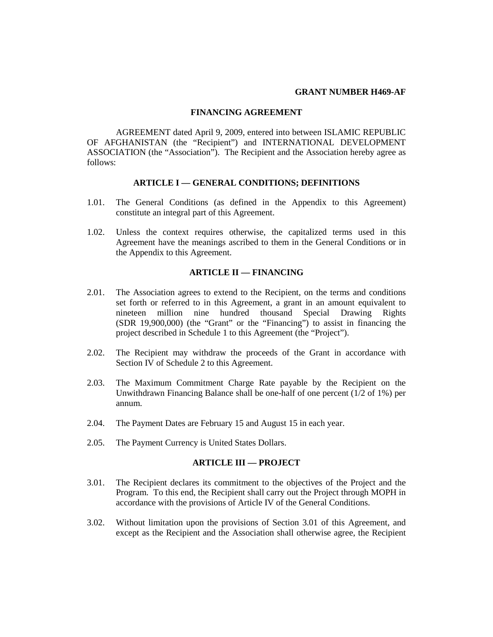#### **GRANT NUMBER H469-AF**

## **FINANCING AGREEMENT**

AGREEMENT dated April 9, 2009, entered into between ISLAMIC REPUBLIC OF AFGHANISTAN (the "Recipient") and INTERNATIONAL DEVELOPMENT ASSOCIATION (the "Association"). The Recipient and the Association hereby agree as follows:

#### **ARTICLE I — GENERAL CONDITIONS; DEFINITIONS**

- 1.01. The General Conditions (as defined in the Appendix to this Agreement) constitute an integral part of this Agreement.
- 1.02. Unless the context requires otherwise, the capitalized terms used in this Agreement have the meanings ascribed to them in the General Conditions or in the Appendix to this Agreement.

#### **ARTICLE II — FINANCING**

- 2.01. The Association agrees to extend to the Recipient, on the terms and conditions set forth or referred to in this Agreement, a grant in an amount equivalent to nineteen million nine hundred thousand Special Drawing Rights (SDR 19,900,000) (the "Grant" or the "Financing") to assist in financing the project described in Schedule 1 to this Agreement (the "Project").
- 2.02. The Recipient may withdraw the proceeds of the Grant in accordance with Section IV of Schedule 2 to this Agreement.
- 2.03. The Maximum Commitment Charge Rate payable by the Recipient on the Unwithdrawn Financing Balance shall be one-half of one percent (1/2 of 1%) per annum.
- 2.04. The Payment Dates are February 15 and August 15 in each year.
- 2.05. The Payment Currency is United States Dollars.

#### **ARTICLE III — PROJECT**

- 3.01. The Recipient declares its commitment to the objectives of the Project and the Program. To this end, the Recipient shall carry out the Project through MOPH in accordance with the provisions of Article IV of the General Conditions.
- 3.02. Without limitation upon the provisions of Section 3.01 of this Agreement, and except as the Recipient and the Association shall otherwise agree, the Recipient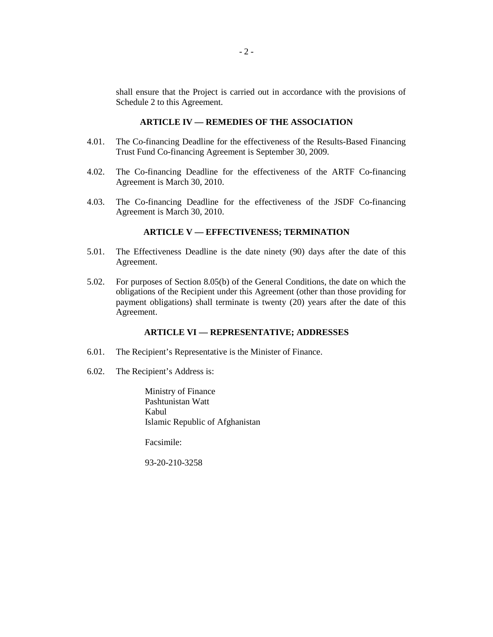shall ensure that the Project is carried out in accordance with the provisions of Schedule 2 to this Agreement.

#### **ARTICLE IV — REMEDIES OF THE ASSOCIATION**

- 4.01. The Co-financing Deadline for the effectiveness of the Results-Based Financing Trust Fund Co-financing Agreement is September 30, 2009.
- 4.02. The Co-financing Deadline for the effectiveness of the ARTF Co-financing Agreement is March 30, 2010.
- 4.03. The Co-financing Deadline for the effectiveness of the JSDF Co-financing Agreement is March 30, 2010.

# **ARTICLE V — EFFECTIVENESS; TERMINATION**

- 5.01. The Effectiveness Deadline is the date ninety (90) days after the date of this Agreement.
- 5.02. For purposes of Section 8.05(b) of the General Conditions, the date on which the obligations of the Recipient under this Agreement (other than those providing for payment obligations) shall terminate is twenty (20) years after the date of this Agreement.

# **ARTICLE VI — REPRESENTATIVE; ADDRESSES**

- 6.01. The Recipient's Representative is the Minister of Finance.
- 6.02. The Recipient's Address is:

Ministry of Finance Pashtunistan Watt Kabul Islamic Republic of Afghanistan

Facsimile:

93-20-210-3258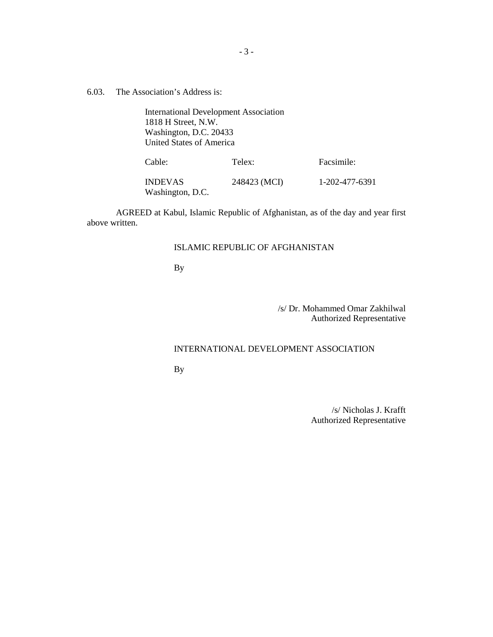6.03. The Association's Address is:

International Development Association 1818 H Street, N.W. Washington, D.C. 20433 United States of America

Cable: Telex: Facsimile:

| INDEVAS          | 248423 (MCI) | 1-202-477-6391 |
|------------------|--------------|----------------|
| Washington, D.C. |              |                |

AGREED at Kabul, Islamic Republic of Afghanistan, as of the day and year first above written.

# ISLAMIC REPUBLIC OF AFGHANISTAN

By

# /s/ Dr. Mohammed Omar Zakhilwal Authorized Representative

#### INTERNATIONAL DEVELOPMENT ASSOCIATION

By

/s/ Nicholas J. Krafft Authorized Representative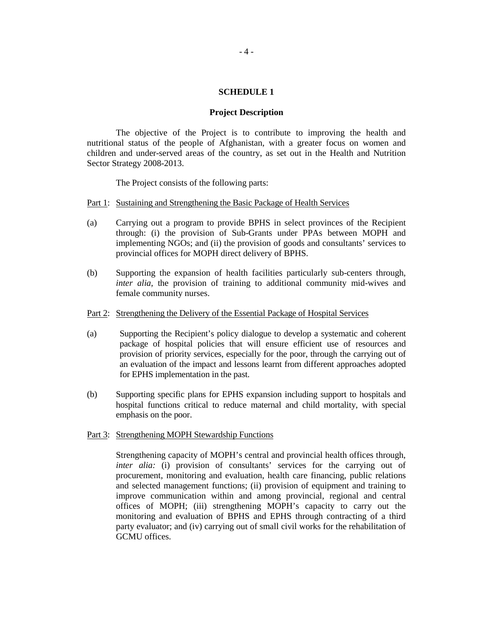## **SCHEDULE 1**

#### **Project Description**

The objective of the Project is to contribute to improving the health and nutritional status of the people of Afghanistan, with a greater focus on women and children and under-served areas of the country, as set out in the Health and Nutrition Sector Strategy 2008-2013.

The Project consists of the following parts:

#### Part 1: Sustaining and Strengthening the Basic Package of Health Services

- (a) Carrying out a program to provide BPHS in select provinces of the Recipient through: (i) the provision of Sub-Grants under PPAs between MOPH and implementing NGOs; and (ii) the provision of goods and consultants' services to provincial offices for MOPH direct delivery of BPHS.
- (b) Supporting the expansion of health facilities particularly sub-centers through, *inter alia*, the provision of training to additional community mid-wives and female community nurses.

#### Part 2: Strengthening the Delivery of the Essential Package of Hospital Services

- (a) Supporting the Recipient's policy dialogue to develop a systematic and coherent package of hospital policies that will ensure efficient use of resources and provision of priority services, especially for the poor, through the carrying out of an evaluation of the impact and lessons learnt from different approaches adopted for EPHS implementation in the past.
- (b) Supporting specific plans for EPHS expansion including support to hospitals and hospital functions critical to reduce maternal and child mortality, with special emphasis on the poor.

# Part 3: Strengthening MOPH Stewardship Functions

Strengthening capacity of MOPH's central and provincial health offices through, *inter alia:* (i) provision of consultants' services for the carrying out of procurement, monitoring and evaluation, health care financing, public relations and selected management functions; (ii) provision of equipment and training to improve communication within and among provincial, regional and central offices of MOPH; (iii) strengthening MOPH's capacity to carry out the monitoring and evaluation of BPHS and EPHS through contracting of a third party evaluator; and (iv) carrying out of small civil works for the rehabilitation of GCMU offices.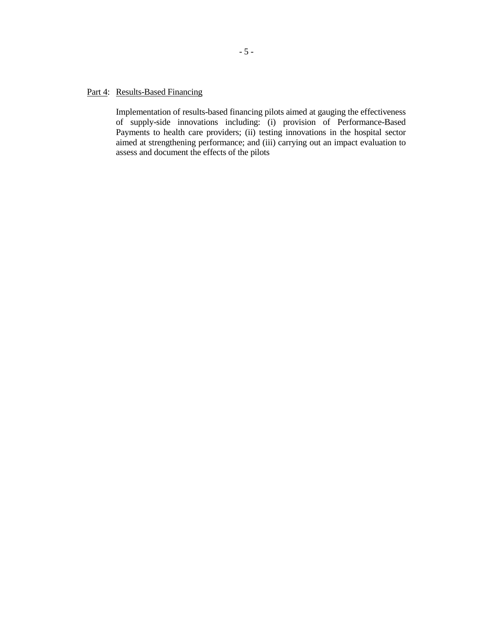# Part 4: Results-Based Financing

Implementation of results-based financing pilots aimed at gauging the effectiveness of supply-side innovations including: (i) provision of Performance-Based Payments to health care providers; (ii) testing innovations in the hospital sector aimed at strengthening performance; and (iii) carrying out an impact evaluation to assess and document the effects of the pilots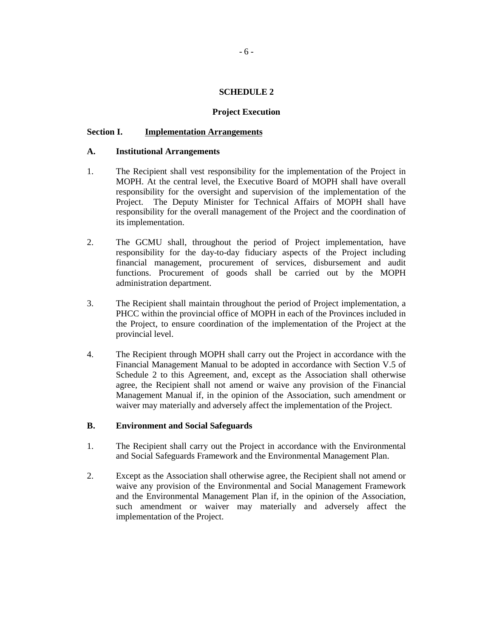# **SCHEDULE 2**

## **Project Execution**

## **Section I. Implementation Arrangements**

## **A. Institutional Arrangements**

- 1. The Recipient shall vest responsibility for the implementation of the Project in MOPH. At the central level, the Executive Board of MOPH shall have overall responsibility for the oversight and supervision of the implementation of the Project. The Deputy Minister for Technical Affairs of MOPH shall have responsibility for the overall management of the Project and the coordination of its implementation.
- 2. The GCMU shall, throughout the period of Project implementation, have responsibility for the day-to-day fiduciary aspects of the Project including financial management, procurement of services, disbursement and audit functions. Procurement of goods shall be carried out by the MOPH administration department.
- 3. The Recipient shall maintain throughout the period of Project implementation, a PHCC within the provincial office of MOPH in each of the Provinces included in the Project, to ensure coordination of the implementation of the Project at the provincial level.
- 4. The Recipient through MOPH shall carry out the Project in accordance with the Financial Management Manual to be adopted in accordance with Section V.5 of Schedule 2 to this Agreement, and, except as the Association shall otherwise agree, the Recipient shall not amend or waive any provision of the Financial Management Manual if, in the opinion of the Association, such amendment or waiver may materially and adversely affect the implementation of the Project.

# **B. Environment and Social Safeguards**

- 1. The Recipient shall carry out the Project in accordance with the Environmental and Social Safeguards Framework and the Environmental Management Plan.
- 2. Except as the Association shall otherwise agree, the Recipient shall not amend or waive any provision of the Environmental and Social Management Framework and the Environmental Management Plan if, in the opinion of the Association, such amendment or waiver may materially and adversely affect the implementation of the Project.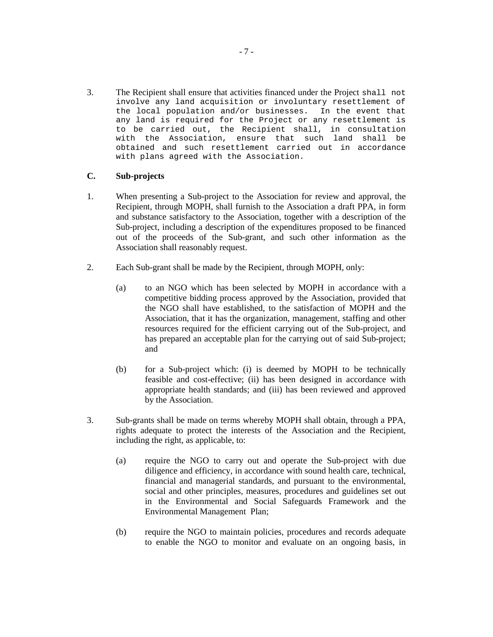3. The Recipient shall ensure that activities financed under the Project shall not involve any land acquisition or involuntary resettlement of<br>the local population and/or businesses. In the event that the local population and/or businesses. any land is required for the Project or any resettlement is to be carried out, the Recipient shall, in consultation with the Association, ensure that such land shall be obtained and such resettlement carried out in accordance with plans agreed with the Association.

# **C. Sub-projects**

- 1. When presenting a Sub-project to the Association for review and approval, the Recipient, through MOPH, shall furnish to the Association a draft PPA, in form and substance satisfactory to the Association, together with a description of the Sub-project, including a description of the expenditures proposed to be financed out of the proceeds of the Sub-grant, and such other information as the Association shall reasonably request.
- 2. Each Sub-grant shall be made by the Recipient, through MOPH, only:
	- (a) to an NGO which has been selected by MOPH in accordance with a competitive bidding process approved by the Association, provided that the NGO shall have established, to the satisfaction of MOPH and the Association, that it has the organization, management, staffing and other resources required for the efficient carrying out of the Sub-project, and has prepared an acceptable plan for the carrying out of said Sub-project; and
	- (b) for a Sub-project which: (i) is deemed by MOPH to be technically feasible and cost-effective; (ii) has been designed in accordance with appropriate health standards; and (iii) has been reviewed and approved by the Association.
- 3. Sub-grants shall be made on terms whereby MOPH shall obtain, through a PPA, rights adequate to protect the interests of the Association and the Recipient, including the right, as applicable, to:
	- (a) require the NGO to carry out and operate the Sub-project with due diligence and efficiency, in accordance with sound health care, technical, financial and managerial standards, and pursuant to the environmental, social and other principles, measures, procedures and guidelines set out in the Environmental and Social Safeguards Framework and the Environmental Management Plan;
	- (b) require the NGO to maintain policies, procedures and records adequate to enable the NGO to monitor and evaluate on an ongoing basis, in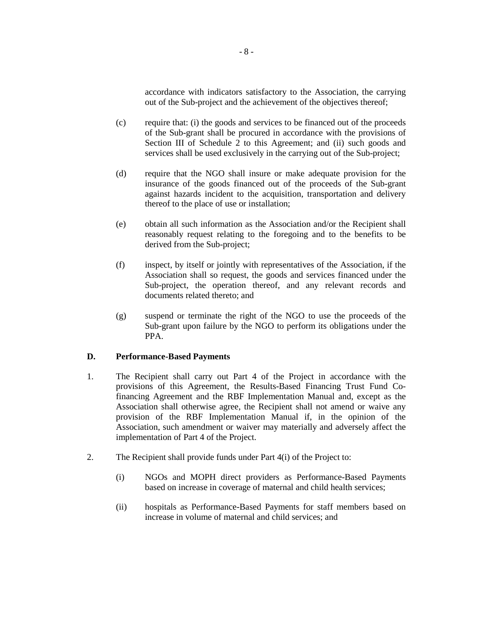accordance with indicators satisfactory to the Association, the carrying out of the Sub-project and the achievement of the objectives thereof;

- (c) require that: (i) the goods and services to be financed out of the proceeds of the Sub-grant shall be procured in accordance with the provisions of Section III of Schedule 2 to this Agreement; and (ii) such goods and services shall be used exclusively in the carrying out of the Sub-project;
- (d) require that the NGO shall insure or make adequate provision for the insurance of the goods financed out of the proceeds of the Sub-grant against hazards incident to the acquisition, transportation and delivery thereof to the place of use or installation;
- (e) obtain all such information as the Association and/or the Recipient shall reasonably request relating to the foregoing and to the benefits to be derived from the Sub-project;
- (f) inspect, by itself or jointly with representatives of the Association, if the Association shall so request, the goods and services financed under the Sub-project, the operation thereof, and any relevant records and documents related thereto; and
- (g) suspend or terminate the right of the NGO to use the proceeds of the Sub-grant upon failure by the NGO to perform its obligations under the PPA.

## **D. Performance-Based Payments**

- 1. The Recipient shall carry out Part 4 of the Project in accordance with the provisions of this Agreement, the Results-Based Financing Trust Fund Cofinancing Agreement and the RBF Implementation Manual and, except as the Association shall otherwise agree, the Recipient shall not amend or waive any provision of the RBF Implementation Manual if, in the opinion of the Association, such amendment or waiver may materially and adversely affect the implementation of Part 4 of the Project.
- 2. The Recipient shall provide funds under Part 4(i) of the Project to:
	- (i) NGOs and MOPH direct providers as Performance-Based Payments based on increase in coverage of maternal and child health services;
	- (ii) hospitals as Performance-Based Payments for staff members based on increase in volume of maternal and child services; and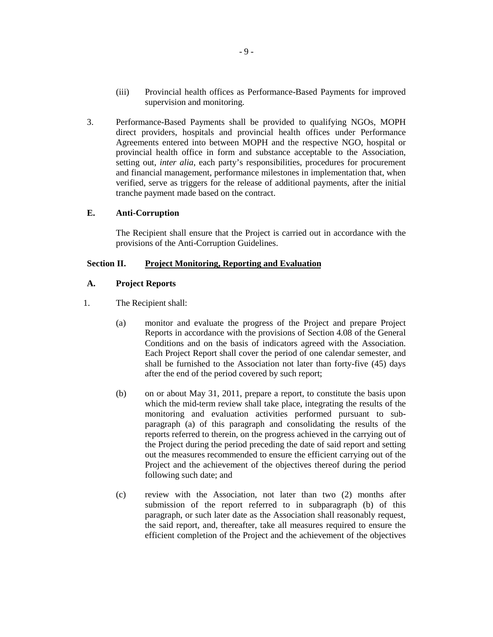- (iii) Provincial health offices as Performance-Based Payments for improved supervision and monitoring.
- 3. Performance-Based Payments shall be provided to qualifying NGOs, MOPH direct providers, hospitals and provincial health offices under Performance Agreements entered into between MOPH and the respective NGO, hospital or provincial health office in form and substance acceptable to the Association, setting out, *inter alia*, each party's responsibilities, procedures for procurement and financial management, performance milestones in implementation that, when verified, serve as triggers for the release of additional payments, after the initial tranche payment made based on the contract.

# **E. Anti-Corruption**

 The Recipient shall ensure that the Project is carried out in accordance with the provisions of the Anti-Corruption Guidelines.

# **Section II. Project Monitoring, Reporting and Evaluation**

# **A. Project Reports**

- 1. The Recipient shall:
	- (a) monitor and evaluate the progress of the Project and prepare Project Reports in accordance with the provisions of Section 4.08 of the General Conditions and on the basis of indicators agreed with the Association. Each Project Report shall cover the period of one calendar semester, and shall be furnished to the Association not later than forty-five (45) days after the end of the period covered by such report;
	- (b) on or about May 31, 2011, prepare a report, to constitute the basis upon which the mid-term review shall take place, integrating the results of the monitoring and evaluation activities performed pursuant to subparagraph (a) of this paragraph and consolidating the results of the reports referred to therein, on the progress achieved in the carrying out of the Project during the period preceding the date of said report and setting out the measures recommended to ensure the efficient carrying out of the Project and the achievement of the objectives thereof during the period following such date; and
	- (c) review with the Association, not later than two (2) months after submission of the report referred to in subparagraph (b) of this paragraph, or such later date as the Association shall reasonably request, the said report, and, thereafter, take all measures required to ensure the efficient completion of the Project and the achievement of the objectives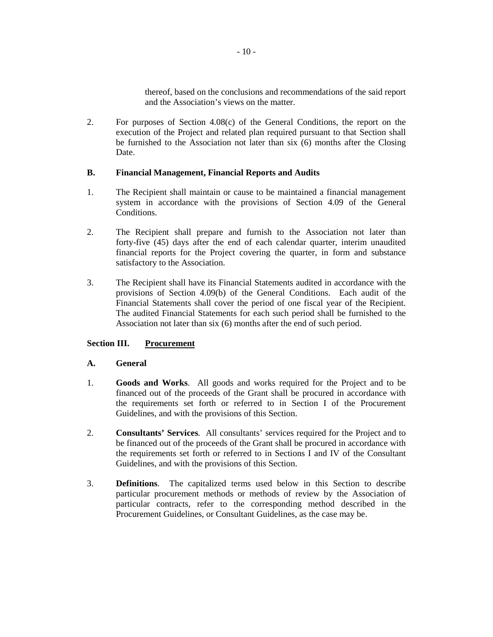thereof, based on the conclusions and recommendations of the said report and the Association's views on the matter.

2. For purposes of Section 4.08(c) of the General Conditions, the report on the execution of the Project and related plan required pursuant to that Section shall be furnished to the Association not later than six (6) months after the Closing Date.

# **B. Financial Management, Financial Reports and Audits**

- 1. The Recipient shall maintain or cause to be maintained a financial management system in accordance with the provisions of Section 4.09 of the General Conditions.
- 2. The Recipient shall prepare and furnish to the Association not later than forty-five (45) days after the end of each calendar quarter, interim unaudited financial reports for the Project covering the quarter, in form and substance satisfactory to the Association.
- 3. The Recipient shall have its Financial Statements audited in accordance with the provisions of Section 4.09(b) of the General Conditions. Each audit of the Financial Statements shall cover the period of one fiscal year of the Recipient. The audited Financial Statements for each such period shall be furnished to the Association not later than six (6) months after the end of such period.

# **Section III. Procurement**

# **A. General**

- 1. **Goods and Works**. All goods and works required for the Project and to be financed out of the proceeds of the Grant shall be procured in accordance with the requirements set forth or referred to in Section I of the Procurement Guidelines, and with the provisions of this Section.
- 2. **Consultants' Services**. All consultants' services required for the Project and to be financed out of the proceeds of the Grant shall be procured in accordance with the requirements set forth or referred to in Sections I and IV of the Consultant Guidelines, and with the provisions of this Section.
- 3. **Definitions**. The capitalized terms used below in this Section to describe particular procurement methods or methods of review by the Association of particular contracts, refer to the corresponding method described in the Procurement Guidelines, or Consultant Guidelines, as the case may be.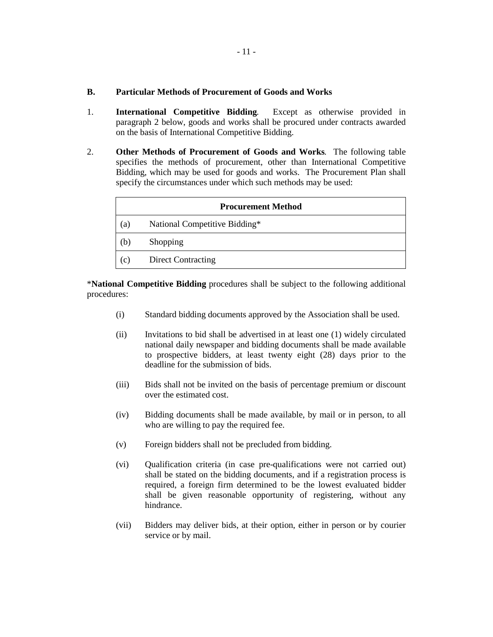## **B. Particular Methods of Procurement of Goods and Works**

- 1. **International Competitive Bidding**. Except as otherwise provided in paragraph 2 below, goods and works shall be procured under contracts awarded on the basis of International Competitive Bidding.
- 2. **Other Methods of Procurement of Goods and Works**. The following table specifies the methods of procurement, other than International Competitive Bidding, which may be used for goods and works. The Procurement Plan shall specify the circumstances under which such methods may be used:

| <b>Procurement Method</b> |                               |  |
|---------------------------|-------------------------------|--|
| (a)                       | National Competitive Bidding* |  |
| (b)                       | Shopping                      |  |
| (c)                       | <b>Direct Contracting</b>     |  |

\***National Competitive Bidding** procedures shall be subject to the following additional procedures:

- (i) Standard bidding documents approved by the Association shall be used.
- (ii) Invitations to bid shall be advertised in at least one (1) widely circulated national daily newspaper and bidding documents shall be made available to prospective bidders, at least twenty eight (28) days prior to the deadline for the submission of bids.
- (iii) Bids shall not be invited on the basis of percentage premium or discount over the estimated cost.
- (iv) Bidding documents shall be made available, by mail or in person, to all who are willing to pay the required fee.
- (v) Foreign bidders shall not be precluded from bidding.
- (vi) Qualification criteria (in case pre-qualifications were not carried out) shall be stated on the bidding documents, and if a registration process is required, a foreign firm determined to be the lowest evaluated bidder shall be given reasonable opportunity of registering, without any hindrance.
- (vii) Bidders may deliver bids, at their option, either in person or by courier service or by mail.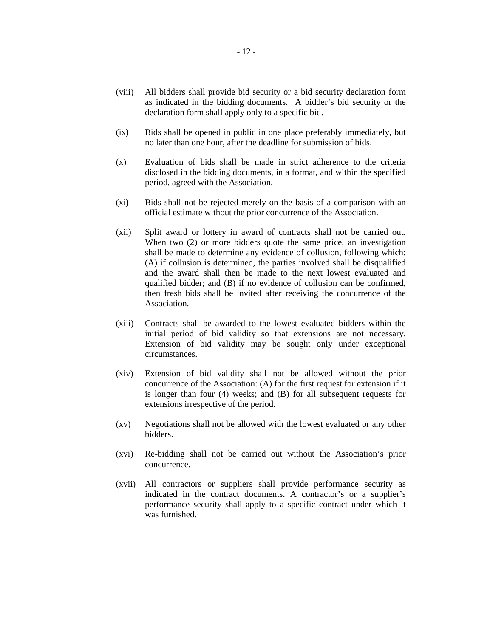- (viii) All bidders shall provide bid security or a bid security declaration form as indicated in the bidding documents. A bidder's bid security or the declaration form shall apply only to a specific bid.
- (ix) Bids shall be opened in public in one place preferably immediately, but no later than one hour, after the deadline for submission of bids.
- (x) Evaluation of bids shall be made in strict adherence to the criteria disclosed in the bidding documents, in a format, and within the specified period, agreed with the Association.
- (xi) Bids shall not be rejected merely on the basis of a comparison with an official estimate without the prior concurrence of the Association.
- (xii) Split award or lottery in award of contracts shall not be carried out. When two (2) or more bidders quote the same price, an investigation shall be made to determine any evidence of collusion, following which: (A) if collusion is determined, the parties involved shall be disqualified and the award shall then be made to the next lowest evaluated and qualified bidder; and (B) if no evidence of collusion can be confirmed, then fresh bids shall be invited after receiving the concurrence of the Association.
- (xiii) Contracts shall be awarded to the lowest evaluated bidders within the initial period of bid validity so that extensions are not necessary. Extension of bid validity may be sought only under exceptional circumstances.
- (xiv) Extension of bid validity shall not be allowed without the prior concurrence of the Association: (A) for the first request for extension if it is longer than four (4) weeks; and (B) for all subsequent requests for extensions irrespective of the period.
- (xv) Negotiations shall not be allowed with the lowest evaluated or any other bidders.
- (xvi) Re-bidding shall not be carried out without the Association's prior concurrence.
- (xvii) All contractors or suppliers shall provide performance security as indicated in the contract documents. A contractor's or a supplier's performance security shall apply to a specific contract under which it was furnished.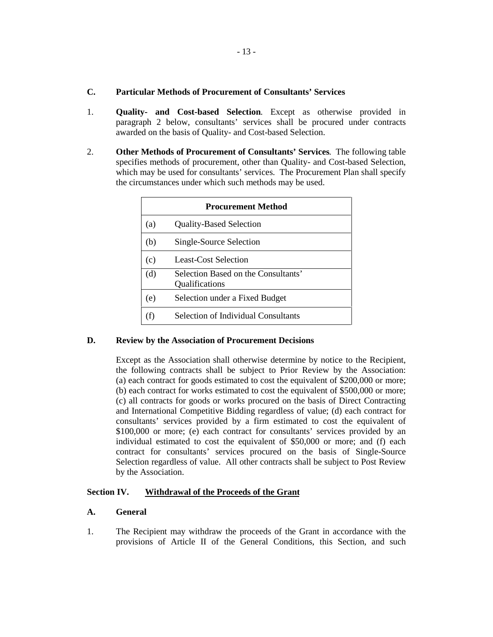- 1. **Quality- and Cost-based Selection**. Except as otherwise provided in paragraph 2 below, consultants' services shall be procured under contracts awarded on the basis of Quality- and Cost-based Selection.
- 2. **Other Methods of Procurement of Consultants' Services**. The following table specifies methods of procurement, other than Quality- and Cost-based Selection, which may be used for consultants' services. The Procurement Plan shall specify the circumstances under which such methods may be used.

| <b>Procurement Method</b> |                                                       |  |
|---------------------------|-------------------------------------------------------|--|
| (a)                       | <b>Quality-Based Selection</b>                        |  |
| (b)                       | Single-Source Selection                               |  |
| (c)                       | Least-Cost Selection                                  |  |
| (d)                       | Selection Based on the Consultants'<br>Qualifications |  |
| (e)                       | Selection under a Fixed Budget                        |  |
|                           | <b>Selection of Individual Consultants</b>            |  |

# **D. Review by the Association of Procurement Decisions**

 Except as the Association shall otherwise determine by notice to the Recipient, the following contracts shall be subject to Prior Review by the Association: (a) each contract for goods estimated to cost the equivalent of \$200,000 or more; (b) each contract for works estimated to cost the equivalent of \$500,000 or more; (c) all contracts for goods or works procured on the basis of Direct Contracting and International Competitive Bidding regardless of value; (d) each contract for consultants' services provided by a firm estimated to cost the equivalent of \$100,000 or more; (e) each contract for consultants' services provided by an individual estimated to cost the equivalent of \$50,000 or more; and (f) each contract for consultants' services procured on the basis of Single-Source Selection regardless of value. All other contracts shall be subject to Post Review by the Association.

# **Section IV. Withdrawal of the Proceeds of the Grant**

# **A. General**

1. The Recipient may withdraw the proceeds of the Grant in accordance with the provisions of Article II of the General Conditions, this Section, and such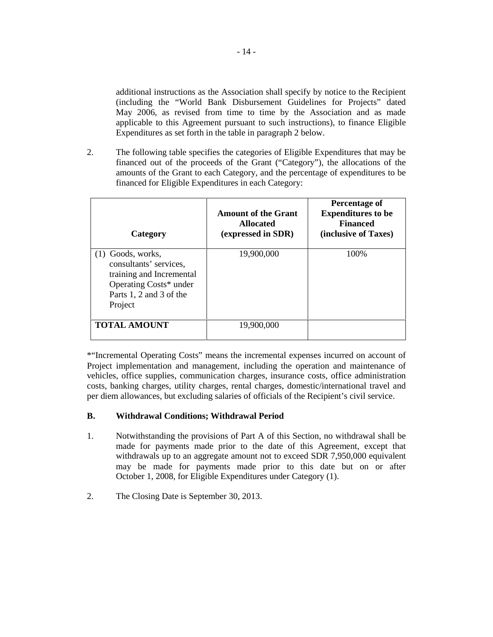additional instructions as the Association shall specify by notice to the Recipient (including the "World Bank Disbursement Guidelines for Projects" dated May 2006, as revised from time to time by the Association and as made applicable to this Agreement pursuant to such instructions), to finance Eligible Expenditures as set forth in the table in paragraph 2 below.

2. The following table specifies the categories of Eligible Expenditures that may be financed out of the proceeds of the Grant ("Category"), the allocations of the amounts of the Grant to each Category, and the percentage of expenditures to be financed for Eligible Expenditures in each Category:

| Category                                                                                                                                  | <b>Amount of the Grant</b><br><b>Allocated</b><br>(expressed in SDR) | Percentage of<br><b>Expenditures to be</b><br><b>Financed</b><br>(inclusive of Taxes) |
|-------------------------------------------------------------------------------------------------------------------------------------------|----------------------------------------------------------------------|---------------------------------------------------------------------------------------|
| $(1)$ Goods, works,<br>consultants' services,<br>training and Incremental<br>Operating Costs* under<br>Parts 1, 2 and 3 of the<br>Project | 19,900,000                                                           | 100\%                                                                                 |
| <b>TOTAL AMOUNT</b>                                                                                                                       | 19.900.000                                                           |                                                                                       |

\*"Incremental Operating Costs" means the incremental expenses incurred on account of Project implementation and management, including the operation and maintenance of vehicles, office supplies, communication charges, insurance costs, office administration costs, banking charges, utility charges, rental charges, domestic/international travel and per diem allowances, but excluding salaries of officials of the Recipient's civil service.

# **B. Withdrawal Conditions; Withdrawal Period**

- 1. Notwithstanding the provisions of Part A of this Section, no withdrawal shall be made for payments made prior to the date of this Agreement, except that withdrawals up to an aggregate amount not to exceed SDR 7,950,000 equivalent may be made for payments made prior to this date but on or after October 1, 2008, for Eligible Expenditures under Category (1).
- 2. The Closing Date is September 30, 2013.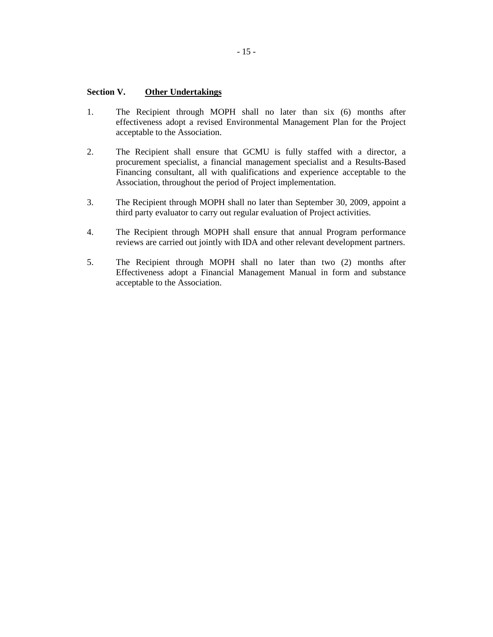# **Section V. Other Undertakings**

- 1. The Recipient through MOPH shall no later than six (6) months after effectiveness adopt a revised Environmental Management Plan for the Project acceptable to the Association.
- 2. The Recipient shall ensure that GCMU is fully staffed with a director, a procurement specialist, a financial management specialist and a Results-Based Financing consultant, all with qualifications and experience acceptable to the Association, throughout the period of Project implementation.
- 3. The Recipient through MOPH shall no later than September 30, 2009, appoint a third party evaluator to carry out regular evaluation of Project activities.
- 4. The Recipient through MOPH shall ensure that annual Program performance reviews are carried out jointly with IDA and other relevant development partners.
- 5. The Recipient through MOPH shall no later than two (2) months after Effectiveness adopt a Financial Management Manual in form and substance acceptable to the Association.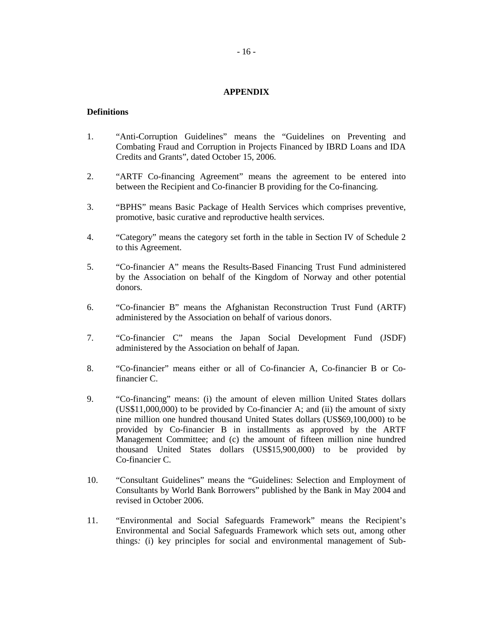#### **APPENDIX**

## **Definitions**

- 1. "Anti-Corruption Guidelines" means the "Guidelines on Preventing and Combating Fraud and Corruption in Projects Financed by IBRD Loans and IDA Credits and Grants", dated October 15, 2006.
- 2. "ARTF Co-financing Agreement" means the agreement to be entered into between the Recipient and Co-financier B providing for the Co-financing.
- 3. "BPHS" means Basic Package of Health Services which comprises preventive, promotive, basic curative and reproductive health services.
- 4. "Category" means the category set forth in the table in Section IV of Schedule 2 to this Agreement.
- 5. "Co-financier A" means the Results-Based Financing Trust Fund administered by the Association on behalf of the Kingdom of Norway and other potential donors.
- 6. "Co-financier B" means the Afghanistan Reconstruction Trust Fund (ARTF) administered by the Association on behalf of various donors.
- 7. "Co-financier C" means the Japan Social Development Fund (JSDF) administered by the Association on behalf of Japan.
- 8. "Co-financier" means either or all of Co-financier A, Co-financier B or Cofinancier C.
- 9. "Co-financing" means: (i) the amount of eleven million United States dollars (US\$11,000,000) to be provided by Co-financier A; and (ii) the amount of sixty nine million one hundred thousand United States dollars (US\$69,100,000) to be provided by Co-financier B in installments as approved by the ARTF Management Committee; and (c) the amount of fifteen million nine hundred thousand United States dollars (US\$15,900,000) to be provided by Co-financier C.
- 10. "Consultant Guidelines" means the "Guidelines: Selection and Employment of Consultants by World Bank Borrowers" published by the Bank in May 2004 and revised in October 2006.
- 11. "Environmental and Social Safeguards Framework" means the Recipient's Environmental and Social Safeguards Framework which sets out, among other things*:* (i) key principles for social and environmental management of Sub-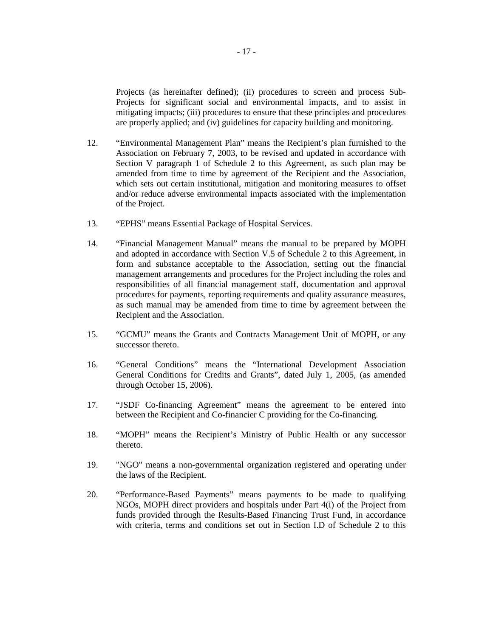Projects (as hereinafter defined); (ii) procedures to screen and process Sub-Projects for significant social and environmental impacts, and to assist in mitigating impacts; (iii) procedures to ensure that these principles and procedures are properly applied; and (iv) guidelines for capacity building and monitoring.

- 12. "Environmental Management Plan" means the Recipient's plan furnished to the Association on February 7, 2003, to be revised and updated in accordance with Section V paragraph 1 of Schedule 2 to this Agreement, as such plan may be amended from time to time by agreement of the Recipient and the Association, which sets out certain institutional, mitigation and monitoring measures to offset and/or reduce adverse environmental impacts associated with the implementation of the Project.
- 13. "EPHS" means Essential Package of Hospital Services.
- 14. "Financial Management Manual" means the manual to be prepared by MOPH and adopted in accordance with Section V.5 of Schedule 2 to this Agreement, in form and substance acceptable to the Association, setting out the financial management arrangements and procedures for the Project including the roles and responsibilities of all financial management staff, documentation and approval procedures for payments, reporting requirements and quality assurance measures, as such manual may be amended from time to time by agreement between the Recipient and the Association.
- 15. "GCMU" means the Grants and Contracts Management Unit of MOPH, or any successor thereto.
- 16. "General Conditions" means the "International Development Association General Conditions for Credits and Grants", dated July 1, 2005, (as amended through October 15, 2006).
- 17. "JSDF Co-financing Agreement" means the agreement to be entered into between the Recipient and Co-financier C providing for the Co-financing.
- 18. "MOPH" means the Recipient's Ministry of Public Health or any successor thereto.
- 19. "NGO" means a non-governmental organization registered and operating under the laws of the Recipient.
- 20. "Performance-Based Payments" means payments to be made to qualifying NGOs, MOPH direct providers and hospitals under Part 4(i) of the Project from funds provided through the Results-Based Financing Trust Fund, in accordance with criteria, terms and conditions set out in Section I.D of Schedule 2 to this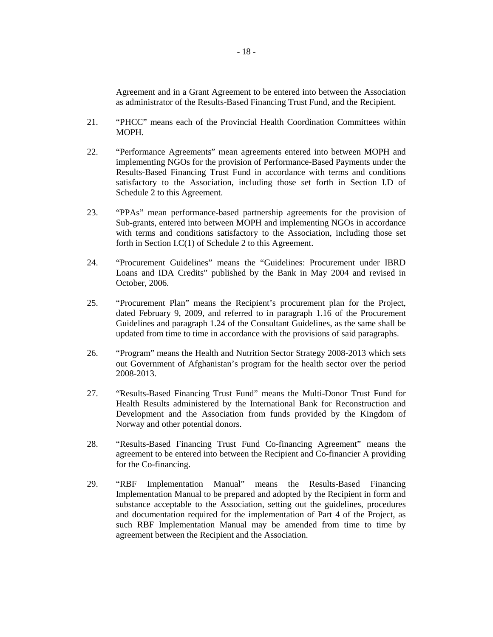Agreement and in a Grant Agreement to be entered into between the Association as administrator of the Results-Based Financing Trust Fund, and the Recipient.

- 21. "PHCC" means each of the Provincial Health Coordination Committees within MOPH.
- 22. "Performance Agreements" mean agreements entered into between MOPH and implementing NGOs for the provision of Performance-Based Payments under the Results-Based Financing Trust Fund in accordance with terms and conditions satisfactory to the Association, including those set forth in Section I.D of Schedule 2 to this Agreement.
- 23. "PPAs" mean performance-based partnership agreements for the provision of Sub-grants, entered into between MOPH and implementing NGOs in accordance with terms and conditions satisfactory to the Association, including those set forth in Section I.C(1) of Schedule 2 to this Agreement.
- 24. "Procurement Guidelines" means the "Guidelines: Procurement under IBRD Loans and IDA Credits" published by the Bank in May 2004 and revised in October, 2006.
- 25. "Procurement Plan" means the Recipient's procurement plan for the Project, dated February 9, 2009, and referred to in paragraph 1.16 of the Procurement Guidelines and paragraph 1.24 of the Consultant Guidelines, as the same shall be updated from time to time in accordance with the provisions of said paragraphs.
- 26. "Program" means the Health and Nutrition Sector Strategy 2008-2013 which sets out Government of Afghanistan's program for the health sector over the period 2008-2013.
- 27. "Results-Based Financing Trust Fund" means the Multi-Donor Trust Fund for Health Results administered by the International Bank for Reconstruction and Development and the Association from funds provided by the Kingdom of Norway and other potential donors.
- 28. "Results-Based Financing Trust Fund Co-financing Agreement" means the agreement to be entered into between the Recipient and Co-financier A providing for the Co-financing.
- 29. "RBF Implementation Manual" means the Results-Based Financing Implementation Manual to be prepared and adopted by the Recipient in form and substance acceptable to the Association, setting out the guidelines, procedures and documentation required for the implementation of Part 4 of the Project, as such RBF Implementation Manual may be amended from time to time by agreement between the Recipient and the Association.